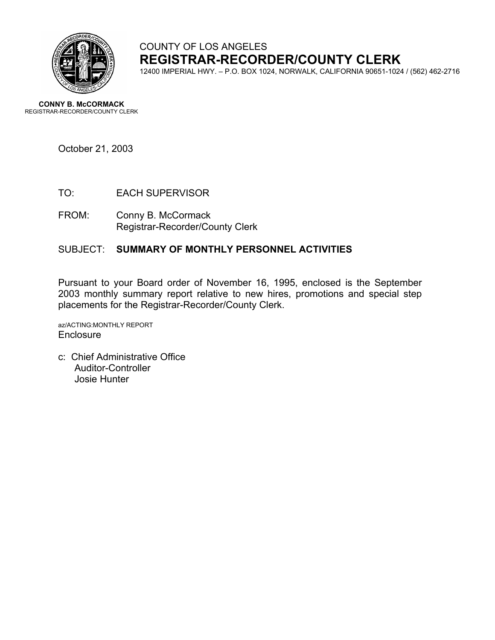

# COUNTY OF LOS ANGELES **REGISTRAR-RECORDER/COUNTY CLERK**

12400 IMPERIAL HWY. – P.O. BOX 1024, NORWALK, CALIFORNIA 90651-1024 / (562) 462-2716

**CONNY B. McCORMACK** REGISTRAR-RECORDER/COUNTY CLERK

October 21, 2003

- TO: EACH SUPERVISOR
- FROM: Conny B. McCormack Registrar-Recorder/County Clerk

## SUBJECT: **SUMMARY OF MONTHLY PERSONNEL ACTIVITIES**

Pursuant to your Board order of November 16, 1995, enclosed is the September 2003 monthly summary report relative to new hires, promotions and special step placements for the Registrar-Recorder/County Clerk.

az/ACTING:MONTHLY REPORT **Enclosure** 

c: Chief Administrative Office Auditor-Controller Josie Hunter